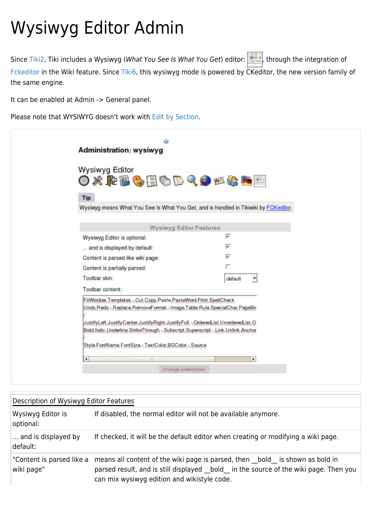## Wysiwyg Editor Admin

Since [Tiki2,](https://doc.tiki.org/Tiki2) Tiki includes a Wysiwyg (What You See Is What You Get) editor: **The integration of** Since Tiki2, Tiki [Fckeditor](http://www.fckeditor.net) in the Wiki feature. Since [Tiki6,](https://doc.tiki.org/Tiki6) this wysiwyg mode is powered by CKeditor, the new version family of the same engine.

It can be enabled at Admin -> General panel.

Please note that WYSIWYG doesn't work with [Edit by Section.](https://doc.tiki.org/Edit-by-Section)

| <b>Administration: wysiwyg</b>                                                                                                                                        |                               |
|-----------------------------------------------------------------------------------------------------------------------------------------------------------------------|-------------------------------|
| <b>Wysiwyg Editor</b><br><b>OXPBSEGBQOFGBE</b><br>Tip                                                                                                                 |                               |
| Wysiwyg means What You See Is What You Get, and is handled in Tikiwiki by FCKeditor.                                                                                  |                               |
| <b>Wysiwyg Editor Features</b>                                                                                                                                        |                               |
| Wysiwyg Editor is optional:                                                                                                                                           | ⊽                             |
| and is displayed by default:                                                                                                                                          | ⊽                             |
| Content is parsed like wiki page:                                                                                                                                     | ⊽                             |
| Content is partially parsed:                                                                                                                                          |                               |
| Toolbar skin:                                                                                                                                                         | default<br>$\bigtriangledown$ |
| Toolbar content:                                                                                                                                                      |                               |
| FitWindow, Templates, -, Cut, Copy, Paste, PasteWord, Print, SpellCheck                                                                                               |                               |
| Undo, Redo, -, Replace, RemoveFormat, -, Image, Table, Rule, SpecialChar, PageBri<br>UustifyLeft,JustifyCenter,JustifyRight,JustifyFull,-,OrderedList,UnorderedList,O |                               |
| Bold, Italic, Underline, StrikeThrough, -, Subscript, Superscript, -, Link, Unlink, Anchor<br>Style, FontName, FontSize, -, TextColor, BGColor, -, Source             |                               |
| $\blacksquare$                                                                                                                                                        | $\blacktriangleright$         |
| Change preferences                                                                                                                                                    |                               |

| Description of Wysiwyg Editor Features  |                                                                                                                                                                                                                   |  |
|-----------------------------------------|-------------------------------------------------------------------------------------------------------------------------------------------------------------------------------------------------------------------|--|
| Wysiwyg Editor is<br>optional:          | If disabled, the normal editor will not be available anymore.                                                                                                                                                     |  |
| and is displayed by<br>default:         | If checked, it will be the default editor when creating or modifying a wiki page.                                                                                                                                 |  |
| "Content is parsed like a<br>wiki page" | means all content of the wiki page is parsed, then bold is shown as bold in<br>parsed result, and is still displayed bold in the source of the wiki page. Then you<br>can mix wysiwyg edition and wikistyle code. |  |